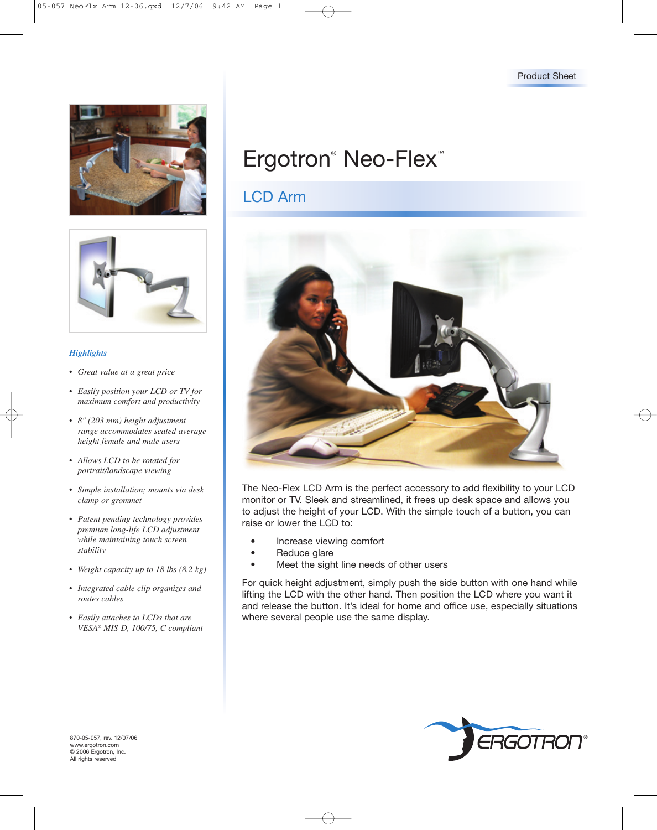



#### *Highlights*

- *Great value at a great price*
- *• Easily position your LCD or TV for maximum comfort and productivity*
- *• 8" (203 mm) height adjustment range accommodates seated average height female and male users*
- *• Allows LCD to be rotated for portrait/landscape viewing*
- *• Simple installation; mounts via desk clamp or grommet*
- *Patent pending technology provides premium long-life LCD adjustment while maintaining touch screen stability*
- *Weight capacity up to 18 lbs (8.2 kg)*
- *Integrated cable clip organizes and routes cables*
- *Easily attaches to LCDs that are VESA® MIS-D, 100/75, C compliant*

# Ergotron<sup>®</sup> Neo-Flex<sup>™</sup>

## LCD Arm



The Neo-Flex LCD Arm is the perfect accessory to add flexibility to your LCD monitor or TV. Sleek and streamlined, it frees up desk space and allows you to adjust the height of your LCD. With the simple touch of a button, you can raise or lower the LCD to:

- Increase viewing comfort
- Reduce glare
- Meet the sight line needs of other users

For quick height adjustment, simply push the side button with one hand while lifting the LCD with the other hand. Then position the LCD where you want it and release the button. It's ideal for home and office use, especially situations where several people use the same display.